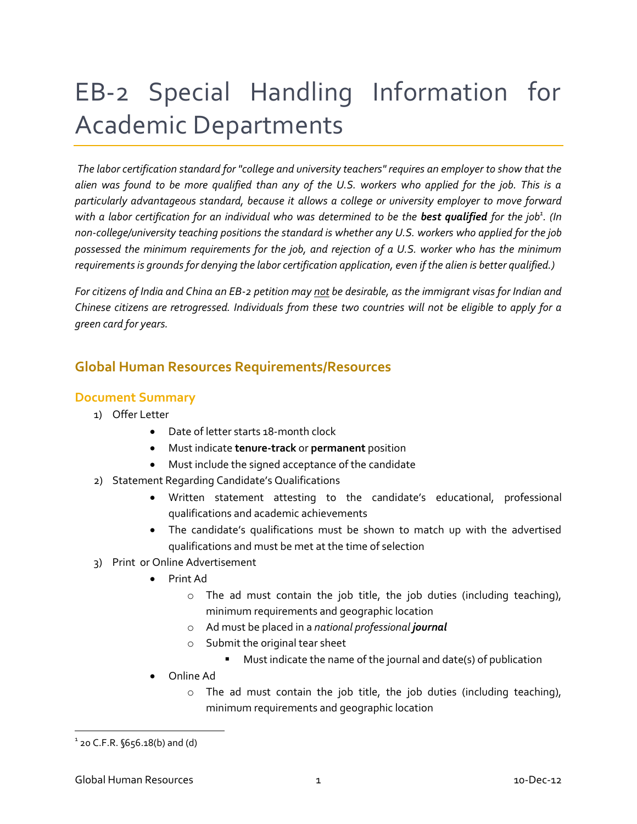# EB-2 Special Handling Information for Academic Departments

*The labor certification standard for "college and university teachers" requires an employer to show that the alien was found to be more qualified than any of the U.S. workers who applied for the job. This is a particularly advantageous standard, because it allows a college or university employer to move forward*  with a labor certification for an individual who was determined to be the **best qualified** for the job<sup>1</sup>. (In *non-college/university teaching positions the standard is whether any U.S. workers who applied for the job possessed the minimum requirements for the job, and rejection of a U.S. worker who has the minimum requirements is grounds for denying the labor certification application, even if the alien is better qualified.)*

*For citizens of India and China an EB-2 petition may not be desirable, as the immigrant visas for Indian and Chinese citizens are retrogressed. Individuals from these two countries will not be eligible to apply for a green card for years.* 

# **Global Human Resources Requirements/Resources**

## **Document Summary**

- 1) Offer Letter
	- Date of letter starts 18-month clock
	- Must indicate **tenure-track** or **permanent** position
	- Must include the signed acceptance of the candidate
- 2) Statement Regarding Candidate's Qualifications
	- Written statement attesting to the candidate's educational, professional qualifications and academic achievements
	- The candidate's qualifications must be shown to match up with the advertised qualifications and must be met at the time of selection
- 3) Print or Online Advertisement
	- Print Ad
		- o The ad must contain the job title, the job duties (including teaching), minimum requirements and geographic location
		- o Ad must be placed in a *national professional journal*
		- o Submit the original tear sheet
			- Must indicate the name of the journal and date(s) of publication
	- Online Ad
		- o The ad must contain the job title, the job duties (including teaching), minimum requirements and geographic location

 $^{\text{1}}$  20 C.F.R. §656.18(b) and (d)